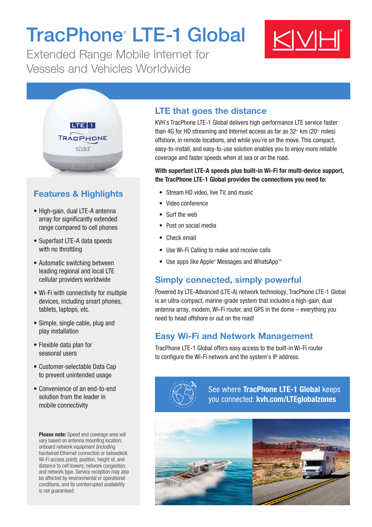# TracPhone® LTE-1 Global

Extended Range Mobile Internet for Vessels and Vehicles Worldwide





# Features & Highlights

- High-gain, dual LTE-A antenna array for significantly extended range compared to cell phones
- Superfast LTE-A data speeds with no throttling
- Automatic switching between leading regional and local LTE cellular providers worldwide
- Wi-Fi with connectivity for multiple devices, including smart phones, tablets, laptops, etc.
- Simple, single cable, plug and play installation
- Flexible data plan for seasonal users
- Customer-selectable Data Cap to prevent unintended usage
- Convenience of an end-to-end solution from the leader in mobile connectivity

Please note: Speed and coverage area will vary based on antenna mounting location; onboard network equipment (including hardwired Ethernet connection or belowdeck Wi-Fi access point); position, height of, and distance to cell towers; network congestion; and network type. Service reception may also be affected by environmental or operational conditions, and its uninterrupted availability is not guaranteed.

#### LTE that goes the distance

KVH's TracPhone LTE-1 Global delivers high-performance LTE service faster than 4G for HD streaming and Internet access as far as  $32<sup>+</sup>$  km (20 $<sup>+</sup>$  miles)</sup> offshore, in remote locations, and while you're on the move. This compact, easy-to-install, and easy-to-use solution enables you to enjoy more reliable coverage and faster speeds when at sea or on the road.

#### With superfast LTE-A speeds plus built-in Wi-Fi for multi-device support, the TracPhone LTE-1 Global provides the connections you need to:

- Stream HD video, live TV, and music
- Video conference
- Surf the web
- Post on social media
- Check email
- Use Wi-Fi Calling to make and receive calls
- Use apps like Apple® Messages and WhatsApp™

## Simply connected, simply powerful

Powered by LTE-Advanced (LTE-A) network technology, TracPhone LTE-1 Global is an ultra-compact, marine-grade system that includes a high-gain, dual antenna array, modem, Wi-Fi router, and GPS in the dome – everything you need to head offshore or out on the road!

## Easy Wi-Fi and Network Management

TracPhone LTE-1 Global offers easy access to the built-in Wi-Fi router to configure the Wi-Fi network and the system's IP address.



See where TracPhone LTE-1 Global keeps you connected: [kvh.com/LTEglobalzones](http://kvh.com/LTEglobalzones)